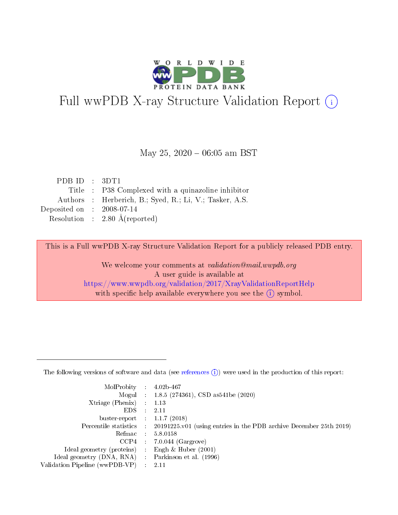

# Full wwPDB X-ray Structure Validation Report (i)

#### May 25,  $2020 - 06:05$  am BST

| PDB ID : $3DT1$                      |                                                         |
|--------------------------------------|---------------------------------------------------------|
|                                      | Title : P38 Complexed with a quinazoline inhibitor      |
|                                      | Authors : Herberich, B.; Syed, R.; Li, V.; Tasker, A.S. |
| Deposited on $\therefore$ 2008-07-14 |                                                         |
|                                      | Resolution : $2.80 \text{ Å}$ (reported)                |

This is a Full wwPDB X-ray Structure Validation Report for a publicly released PDB entry.

We welcome your comments at validation@mail.wwpdb.org A user guide is available at <https://www.wwpdb.org/validation/2017/XrayValidationReportHelp> with specific help available everywhere you see the  $(i)$  symbol.

The following versions of software and data (see [references](https://www.wwpdb.org/validation/2017/XrayValidationReportHelp#references)  $(1)$ ) were used in the production of this report:

| MolProbity :                   |               | $4.02b - 467$                                                               |
|--------------------------------|---------------|-----------------------------------------------------------------------------|
|                                |               | Mogul : $1.8.5$ (274361), CSD as 541be (2020)                               |
| $X$ triage (Phenix) :          |               | 1.13                                                                        |
| EDS.                           |               | 2.11                                                                        |
| buster-report : $1.1.7$ (2018) |               |                                                                             |
| Percentile statistics :        |               | $20191225 \text{v}01$ (using entries in the PDB archive December 25th 2019) |
| Refmac :                       |               | 5.8.0158                                                                    |
| $CCP4$ :                       |               | $7.0.044$ (Gargrove)                                                        |
| Ideal geometry (proteins) :    |               | Engh $\&$ Huber (2001)                                                      |
| Ideal geometry (DNA, RNA) :    |               | Parkinson et al. (1996)                                                     |
| Validation Pipeline (wwPDB-VP) | $\mathcal{L}$ | 2.11                                                                        |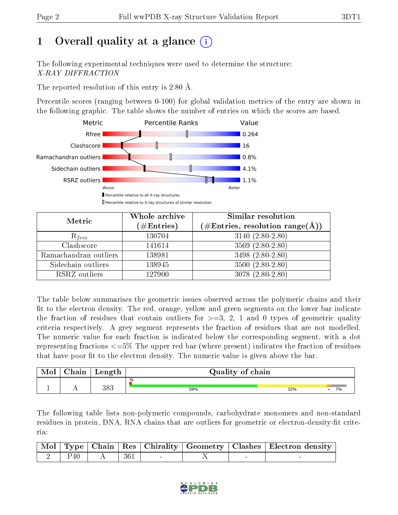# 1 [O](https://www.wwpdb.org/validation/2017/XrayValidationReportHelp#overall_quality)verall quality at a glance  $(i)$

The following experimental techniques were used to determine the structure: X-RAY DIFFRACTION

The reported resolution of this entry is 2.80 Å.

Percentile scores (ranging between 0-100) for global validation metrics of the entry are shown in the following graphic. The table shows the number of entries on which the scores are based.



| Metric                | Whole archive<br>$(\#\text{Entries})$ | Similar resolution<br>$(\#\text{Entries},\,\text{resolution}\,\,\text{range}(\textup{\AA}))$ |
|-----------------------|---------------------------------------|----------------------------------------------------------------------------------------------|
| $R_{free}$            | 130704                                | $3140(2.80-2.80)$                                                                            |
| Clashscore            | 141614                                | $3569(2.80-2.80)$                                                                            |
| Ramachandran outliers | 138981                                | $3498(2.80-2.80)$                                                                            |
| Sidechain outliers    | 138945                                | $3500(2.80-2.80)$                                                                            |
| RSRZ outliers         | 127900                                | $3078(2.80-2.80)$                                                                            |

The table below summarises the geometric issues observed across the polymeric chains and their fit to the electron density. The red, orange, yellow and green segments on the lower bar indicate the fraction of residues that contain outliers for  $>=3, 2, 1$  and 0 types of geometric quality criteria respectively. A grey segment represents the fraction of residues that are not modelled. The numeric value for each fraction is indicated below the corresponding segment, with a dot representing fractions <=5% The upper red bar (where present) indicates the fraction of residues that have poor fit to the electron density. The numeric value is given above the bar.

| <b>Mol</b> | $\sim$ 1<br>'hain | Length | Quality of chain |           |  |  |  |  |  |
|------------|-------------------|--------|------------------|-----------|--|--|--|--|--|
|            |                   |        | $\%$             |           |  |  |  |  |  |
|            |                   | 383    | 59%              | 32%<br>7% |  |  |  |  |  |

The following table lists non-polymeric compounds, carbohydrate monomers and non-standard residues in protein, DNA, RNA chains that are outliers for geometric or electron-density-fit criteria:

|     |       |  | Mol   Type   Chain   Res   Chirality   Geometry   Clashes   Electron density |
|-----|-------|--|------------------------------------------------------------------------------|
| P40 | - 361 |  |                                                                              |

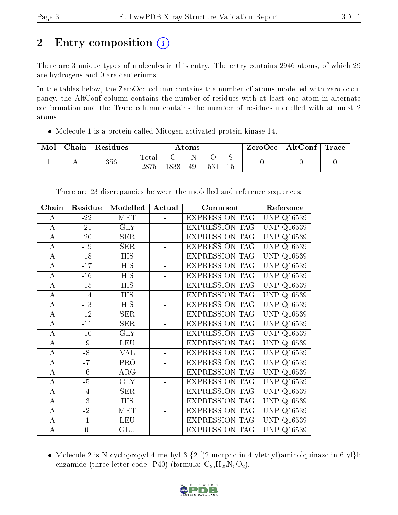# 2 Entry composition  $\left( \cdot \right)$

There are 3 unique types of molecules in this entry. The entry contains 2946 atoms, of which 29 are hydrogens and 0 are deuteriums.

In the tables below, the ZeroOcc column contains the number of atoms modelled with zero occupancy, the AltConf column contains the number of residues with at least one atom in alternate conformation and the Trace column contains the number of residues modelled with at most 2 atoms.

Molecule 1 is a protein called Mitogen-activated protein kinase 14.

| Mol | ${\rm Chain}$ | Residues | $\rm{Atoms}$     |     |     | ZeroOcc | AltConf $ $ | $\operatorname{Trace}\nolimits$ |  |  |
|-----|---------------|----------|------------------|-----|-----|---------|-------------|---------------------------------|--|--|
|     |               | $356\,$  | $\mathrm{Tota}.$ | 838 | 491 | 531     | ∼<br>15     |                                 |  |  |

| Chain              | Residue        | Modelled                | Actual               | Comment               | Reference            |
|--------------------|----------------|-------------------------|----------------------|-----------------------|----------------------|
| А                  | $-22$          | <b>MET</b>              |                      | <b>EXPRESSION TAG</b> | <b>UNP</b><br>Q16539 |
| А                  | $-21$          | <b>GLY</b>              |                      | <b>EXPRESSION TAG</b> | <b>UNP</b><br>Q16539 |
| $\boldsymbol{A}$   | $-20$          | SER                     | ÷                    | <b>EXPRESSION TAG</b> | <b>UNP</b><br>Q16539 |
| $\bf{A}$           | $-19$          | <b>SER</b>              | ÷                    | <b>EXPRESSION TAG</b> | <b>UNP</b><br>Q16539 |
| $\overline{A}$     | $-18$          | <b>HIS</b>              | ÷                    | <b>EXPRESSION TAG</b> | <b>UNP</b><br>Q16539 |
| $\bf{A}$           | $-17$          | <b>HIS</b>              | L,                   | <b>EXPRESSION TAG</b> | <b>UNP</b><br>Q16539 |
| $\boldsymbol{A}$   | $-16$          | <b>HIS</b>              | L,                   | <b>EXPRESSION TAG</b> | <b>UNP Q16539</b>    |
| $\overline{A}$     | $-15$          | HIS                     | ÷,                   | <b>EXPRESSION TAG</b> | UNP<br>Q16539        |
| А                  | $-14$          | HIS                     | $\blacksquare$       | <b>EXPRESSION TAG</b> | <b>UNP Q16539</b>    |
| $\overline{\rm A}$ | $-13$          | HIS                     | $\overline{a}$       | <b>EXPRESSION TAG</b> | <b>UNP Q16539</b>    |
| $\boldsymbol{A}$   | $-12$          | SER                     |                      | <b>EXPRESSION TAG</b> | <b>UNP Q16539</b>    |
| $\boldsymbol{A}$   | $-11$          | SER                     | $\overline{a}$       | EXPRESSION TAG        | <b>UNP</b><br>Q16539 |
| $\boldsymbol{A}$   | $-10$          | <b>GLY</b>              |                      | <b>EXPRESSION TAG</b> | <b>UNP</b><br>Q16539 |
| $\boldsymbol{A}$   | $-9$           | <b>LEU</b>              | $\blacksquare$       | <b>EXPRESSION TAG</b> | <b>UNP</b><br>Q16539 |
| $\overline{\rm A}$ | $-8$           | $\overline{\text{VAL}}$ | L,                   | <b>EXPRESSION TAG</b> | <b>UNP</b><br>Q16539 |
| $\bf{A}$           | $-7$           | PRO                     | ÷                    | <b>EXPRESSION TAG</b> | <b>UNP</b><br>Q16539 |
| А                  | $-6$           | $\overline{\text{ARG}}$ | $\ddot{\phantom{1}}$ | <b>EXPRESSION TAG</b> | <b>UNP</b><br>Q16539 |
| $\boldsymbol{A}$   | $-5$           | <b>GLY</b>              | $\overline{a}$       | <b>EXPRESSION TAG</b> | <b>UNP Q16539</b>    |
| $\boldsymbol{A}$   | $-4$           | SER                     | $\equiv$             | EXPRESSION TAG        | <b>UNP Q16539</b>    |
| $\overline{A}$     | $-3$           | <b>HIS</b>              |                      | <b>EXPRESSION TAG</b> | <b>UNP Q16539</b>    |
| $\boldsymbol{A}$   | $-2$           | <b>MET</b>              | $\overline{a}$       | <b>EXPRESSION TAG</b> | <b>UNP</b><br>Q16539 |
| А                  | $-1$           | <b>LEU</b>              |                      | <b>EXPRESSION TAG</b> | UNP<br>Q16539        |
| А                  | $\overline{0}$ | GLU                     |                      | <b>EXPRESSION TAG</b> | <b>UNP Q16539</b>    |

There are 23 discrepancies between the modelled and reference sequences:

• Molecule 2 is N-cyclopropyl-4-methyl-3- $\{2-[2\text{-morpholin-4-ylethyl)aminolquinazolin-6-yl}\}$ enzamide (three-letter code: P40) (formula:  $C_{25}H_{29}N_5O_2$ ).

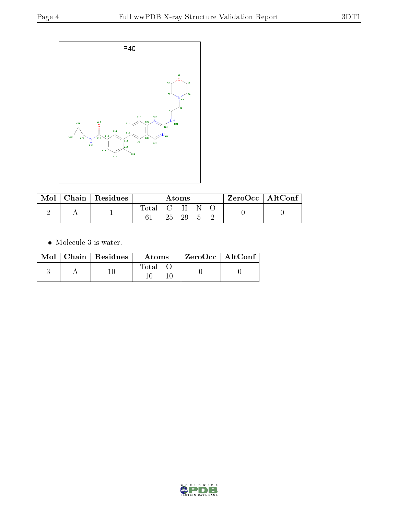

| Mol | Chain   Residues | Atoms       |  |       |      | $'$ ZeroOcc   AltConf |  |  |
|-----|------------------|-------------|--|-------|------|-----------------------|--|--|
|     |                  | Total C H N |  |       |      |                       |  |  |
|     |                  |             |  | 25 29 | $-5$ |                       |  |  |

 $\bullet\,$  Molecule 3 is water.

|  | $Mol$   Chain   Residues | Atoms | $ZeroOcc \mid AltConf \mid$ |  |
|--|--------------------------|-------|-----------------------------|--|
|  |                          | Total |                             |  |

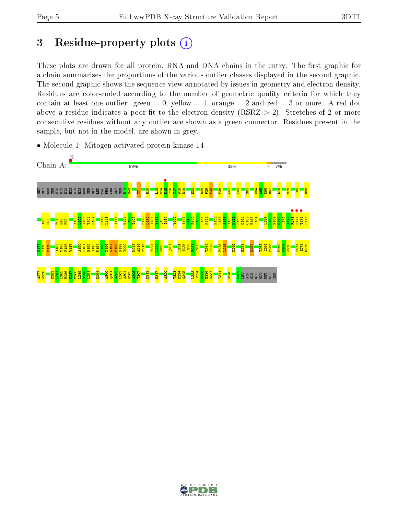# 3 Residue-property plots  $(i)$

These plots are drawn for all protein, RNA and DNA chains in the entry. The first graphic for a chain summarises the proportions of the various outlier classes displayed in the second graphic. The second graphic shows the sequence view annotated by issues in geometry and electron density. Residues are color-coded according to the number of geometric quality criteria for which they contain at least one outlier: green  $= 0$ , yellow  $= 1$ , orange  $= 2$  and red  $= 3$  or more. A red dot above a residue indicates a poor fit to the electron density (RSRZ  $> 2$ ). Stretches of 2 or more consecutive residues without any outlier are shown as a green connector. Residues present in the sample, but not in the model, are shown in grey.



• Molecule 1: Mitogen-activated protein kinase 14

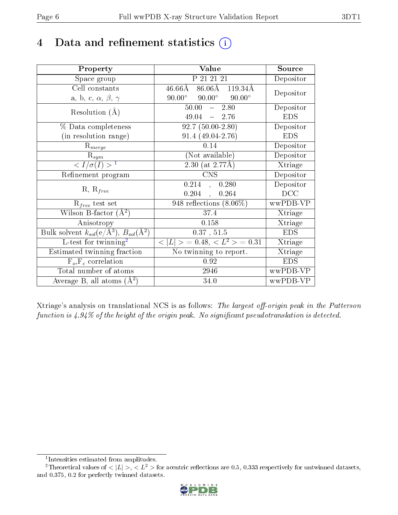## 4 Data and refinement statistics  $(i)$

| Property                                                                | Value                                            | Source     |
|-------------------------------------------------------------------------|--------------------------------------------------|------------|
| Space group                                                             | P 21 21 21                                       | Depositor  |
| Cell constants                                                          | $86.06\text{\AA}$ 119.34Å<br>$46.66\rm \AA$      | Depositor  |
| a, b, c, $\alpha$ , $\beta$ , $\gamma$                                  | $90.00^{\circ}$ $90.00^{\circ}$<br>$90.00^\circ$ |            |
| Resolution $(A)$                                                        | $50.00 - 2.80$                                   | Depositor  |
|                                                                         | $49.04 - 2.76$                                   | <b>EDS</b> |
| % Data completeness                                                     | $92.7(50.00-2.80)$                               | Depositor  |
| (in resolution range)                                                   | $91.4(49.04-2.76)$                               | <b>EDS</b> |
| $R_{merge}$                                                             | 0.14                                             | Depositor  |
| $\mathrm{R}_{sym}$                                                      | (Not available)                                  | Depositor  |
| $\langle I/\sigma(I) \rangle^{-1}$                                      | $2.30$ (at 2.77Å)                                | Xtriage    |
| Refinement program                                                      | <b>CNS</b>                                       | Depositor  |
|                                                                         | $0.214$ ,<br>0.280                               | Depositor  |
| $R, R_{free}$                                                           | 0.204<br>0.264<br>$\mathcal{L}_{\mathbf{A}}$ .   | DCC        |
| $\mathcal{R}_{free}$ test set                                           | $\overline{948}$ reflections $(8.06\%)$          | wwPDB-VP   |
| Wilson B-factor $(A^2)$                                                 | 37.4                                             | Xtriage    |
| Anisotropy                                                              | 0.158                                            | Xtriage    |
| Bulk solvent $k_{sol}(\mathrm{e}/\mathrm{A}^3),\,B_{sol}(\mathrm{A}^2)$ | 0.37, 51.5                                       | <b>EDS</b> |
| L-test for twinning <sup>2</sup>                                        | $< L >$ = 0.48, $< L2 >$ = 0.31                  | Xtriage    |
| Estimated twinning fraction                                             | No twinning to report.                           | Xtriage    |
| $F_o, F_c$ correlation                                                  | 0.92                                             | <b>EDS</b> |
| Total number of atoms                                                   | 2946                                             | wwPDB-VP   |
| Average B, all atoms $(A^2)$                                            | 34.0                                             | wwPDB-VP   |

Xtriage's analysis on translational NCS is as follows: The largest off-origin peak in the Patterson function is  $4.94\%$  of the height of the origin peak. No significant pseudotranslation is detected.

<sup>&</sup>lt;sup>2</sup>Theoretical values of  $\langle |L| \rangle$ ,  $\langle L^2 \rangle$  for acentric reflections are 0.5, 0.333 respectively for untwinned datasets, and 0.375, 0.2 for perfectly twinned datasets.



<span id="page-5-1"></span><span id="page-5-0"></span><sup>1</sup> Intensities estimated from amplitudes.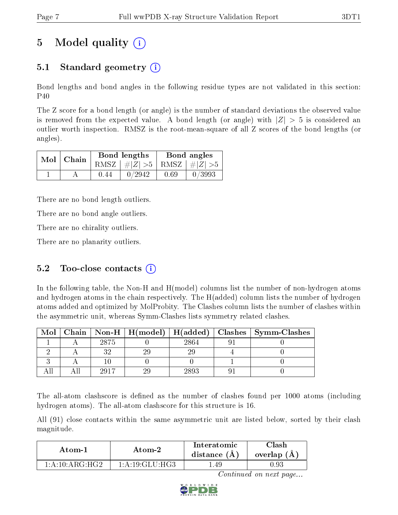# 5 Model quality  $(i)$

### 5.1 Standard geometry  $\overline{()}$

Bond lengths and bond angles in the following residue types are not validated in this section: P40

The Z score for a bond length (or angle) is the number of standard deviations the observed value is removed from the expected value. A bond length (or angle) with  $|Z| > 5$  is considered an outlier worth inspection. RMSZ is the root-mean-square of all Z scores of the bond lengths (or angles).

|               |      | Bond lengths                    | Bond angles |        |  |
|---------------|------|---------------------------------|-------------|--------|--|
| $Mol$   Chain |      | RMSZ $ #Z  > 5$ RMSZ $ #Z  > 5$ |             |        |  |
|               | 0.44 | 0/2942                          | 0.69        | 0/3993 |  |

There are no bond length outliers.

There are no bond angle outliers.

There are no chirality outliers.

There are no planarity outliers.

### 5.2 Too-close contacts  $(i)$

In the following table, the Non-H and H(model) columns list the number of non-hydrogen atoms and hydrogen atoms in the chain respectively. The H(added) column lists the number of hydrogen atoms added and optimized by MolProbity. The Clashes column lists the number of clashes within the asymmetric unit, whereas Symm-Clashes lists symmetry related clashes.

| Mol |      |      | Chain   Non-H   H(model)   H(added)   Clashes   Symm-Clashes |
|-----|------|------|--------------------------------------------------------------|
|     | 2875 | 2864 |                                                              |
|     |      |      |                                                              |
|     |      |      |                                                              |
|     | 2017 | 2893 |                                                              |

The all-atom clashscore is defined as the number of clashes found per 1000 atoms (including hydrogen atoms). The all-atom clashscore for this structure is 16.

All (91) close contacts within the same asymmetric unit are listed below, sorted by their clash magnitude.

| Atom-1              | Atom-2            | Interatomic<br>distance $(A)$ | Clash-<br>overlap (A) |  |
|---------------------|-------------------|-------------------------------|-----------------------|--|
| 1: A: 10: A R G·H G | 1: A:19: GLU:H G3 | .49                           | $\rm 0.93$            |  |

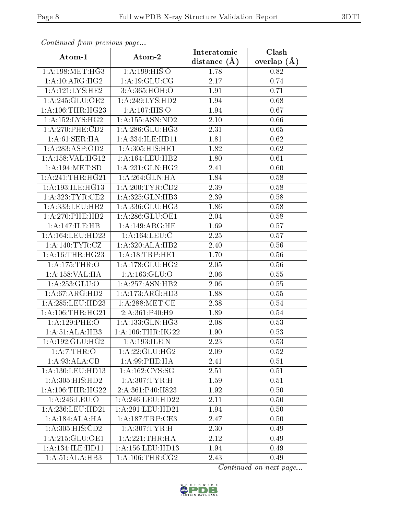| Continuaca from previous page                |                      | Interatomic       | Clash         |  |
|----------------------------------------------|----------------------|-------------------|---------------|--|
| Atom-1                                       | Atom-2               | distance $(A)$    | overlap $(A)$ |  |
| 1: A:198:MET:HG3                             | 1: A: 199: HIS: O    | 1.78              | 0.82          |  |
| 1: A:10: ARG:HG2                             | 1: A: 19: GLU: CG    | 2.17              | 0.74          |  |
| 1: A:121:LYS:HE2                             | 3:A:365:HOH:O        | 1.91              | 0.71          |  |
| 1:A:245:GLU:OE2                              | 1:A:249:LYS:HD2      | 1.94              | 0.68          |  |
| 1: A: 106: THR: HG23                         | 1: A: 107: HIS: O    | 1.94              | 0.67          |  |
| 1: A: 152: LYS: HG2                          | 1: A: 155: ASN: ND2  | 2.10              | 0.66          |  |
| 1:A:270:PHE:CD2                              | 1:A:286:GLU:HG3      | 2.31              | 0.65          |  |
| 1: A:61:SER:HA                               | 1: A: 334: ILE: HD11 | 1.81              | 0.62          |  |
| 1:A:283:ASP:OD2                              | 1:A:305:HIS:HE1      | 1.82              | 0.62          |  |
| 1:A:158:VAL:HG12                             | 1: A: 164: LEU: HB2  | 1.80              | 0.61          |  |
| 1: A: 194: MET: SD                           | 1:A:231:GLN:HG2      | 2.41              | 0.60          |  |
| 1:A:241:THR:HG21                             | 1:A:264:GLN:HA       | 1.84              | 0.58          |  |
| 1: A: 193: ILE: HG13                         | 1:A:200:TYR:CD2      | 2.39              | 0.58          |  |
| 1: A:323: TYR: CE2                           | 1:A:325:GLN:HB3      | 2.39              | 0.58          |  |
| 1:A:333:LEU:HB2                              | 1:A:336:GLU:HG3      | 1.86              | 0.58          |  |
| 1: A:270:PHE:HB2                             | 1: A:286: GLU:OE1    | 2.04              | 0.58          |  |
| 1:A:147:ILE:HB                               | 1:A:149:ARG:HE       | 1.69              | 0.57          |  |
| 1: A:164:LEU:HD23                            | 1: A: 164: LEU: C    | 2.25              | 0.57          |  |
| $1: A:140: \overline{\text{TYR}: \text{CZ}}$ | 1:A:320:ALA:HB2      | $\overline{2}.40$ | 0.56          |  |
| 1: A:16:THR:HG23                             | 1: A: 18: TRP: HE1   | 1.70              | 0.56          |  |
| 1:A:175:THR:O                                | 1: A:178: GLU: HG2   | 2.05              | 0.56          |  |
| 1:A:158:VAL:HA                               | 1:A:163:GLU:O        | 2.06              | 0.55          |  |
| 1: A: 253: GLU:O                             | 1:A:257:ASN:HB2      | 2.06              | 0.55          |  |
| 1: A:67: ARG:HD2                             | 1:A:173:ARG:HD3      | 1.88              | 0.55          |  |
| 1:A:285:LEU:HD23                             | 1: A:288:MET:CE      | 2.38              | 0.54          |  |
| 1: A: 106: THR: HG21                         | 2:A:361:P40:H9       | 1.89              | 0.54          |  |
| 1:A:129:PHE:O                                | 1: A: 133: GLN: HG3  | 2.08              | 0.53          |  |
| 1:A:51:ALA:HB3                               | 1: A: 106: THR: HG22 | 1.90              | 0.53          |  |
| 1: A: 192: GLU: HG2                          | 1:A:193:ILE:N        | 2.23              | 0.53          |  |
| 1:A:7:THR:O                                  | 1:A:22:GLU:HG2       | 2.09              | 0.52          |  |
| 1: A:93:ALA:CB                               | 1: A:99: PHE: HA     | 2.41              | 0.51          |  |
| 1:A:130:LEU:HD13                             | 1:A:162:CYS:SG       | 2.51              | 0.51          |  |
| 1: A: 305: HIS: HD2                          | 1: A: 307: TYR:H     | 1.59              | 0.51          |  |
| 1: A: 106: THR: HG22                         | 2:A:361:P40:H823     | 1.92              | 0.50          |  |
| 1:A:246:LEU:O                                | 1: A:246:LEU:HD22    | 2.11              | 0.50          |  |
| 1:A:236:LEU:HD21                             | 1:A:291:LEU:HD21     | 1.94              | 0.50          |  |
| 1: A:184:ALA:HA                              | 1: A: 187: TRP: CE3  | 2.47              | 0.50          |  |
| 1:A:305:HIS:CD2                              | 1: A: 307: TYR:H     | 2.30              | 0.49          |  |
| 1: A:215: GLU:OE1                            | 1: A:221:THR:HA      | 2.12              | 0.49          |  |
| 1:A:134:ILE:HD11                             | 1:A:156:LEU:HD13     | 1.94              | 0.49          |  |
| 1:A:51:ALA:HB3                               | 1: A:106:THR:CG2     | 2.43              | 0.49          |  |

Continued from previous page.

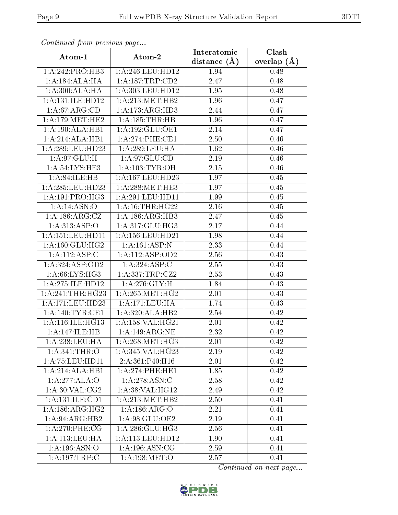| Commaca from previous page  |                      | Interatomic    | Clash         |  |
|-----------------------------|----------------------|----------------|---------------|--|
| Atom-1                      | Atom-2               | distance $(A)$ | overlap $(A)$ |  |
| 1: A:242: PRO:HB3           | 1: A:246:LEU:HD12    | 1.94           | 0.48          |  |
| 1:A:184:ALA:HA              | 1:A:187:TRP:CD2      | 2.47           | 0.48          |  |
| 1: A:300:ALA:HA             | 1: A: 303: LEU: HD12 | 1.95           | 0.48          |  |
| 1:A:131:ILE:HD12            | 1: A:213:MET:HB2     | 1.96           | 0.47          |  |
| 1: A:67: ARG:CD             | 1:A:173:ARG:HD3      | 2.44           | 0.47          |  |
| 1: A:179:MET:HE2            | 1: A: 185: THR: HB   | 1.96           | 0.47          |  |
| 1:A:190:ALA:HB1             | 1:A:192:GLU:OE1      | 2.14           | 0.47          |  |
| 1:A:214:ALA:HB1             | 1: A:274:PHE:CE1     | 2.50           | 0.46          |  |
| 1: A:289:LEU:HD23           | 1:A:289:LEU:HA       | 1.62           | 0.46          |  |
| 1: A:97: GLU: H             | 1: A:97: GLU:CD      | 2.19           | 0.46          |  |
| 1:A:54:LYS:HE3              | 1: A: 103: TYR: OH   | 2.15           | 0.46          |  |
| 1: A:84: ILE: HB            | 1:A:167:LEU:HD23     | 1.97           | 0.45          |  |
| 1: A:285:LEU:HD23           | 1: A:288:MET:HE3     | 1.97           | 0.45          |  |
| 1: A:191: PRO:HG3           | 1: A:291:LEU:HD11    | 1.99           | 0.45          |  |
| 1: A:14: ASN:O              | 1: A:16:THR:HG22     | 2.16           | 0.45          |  |
| 1:A:186:ARG:CZ              | 1:A:186:ARG:HB3      | 2.47           | 0.45          |  |
| $1:A:3\overline{13:ASP:O}$  | 1:A:317:GLU:HG3      | 2.17           | 0.44          |  |
| 1: A: 151: LEU: HD11        | 1:A:156:LEU:HD21     | 1.98           | 0.44          |  |
| 1: A: 160: GLU: HG2         | 1:A:161:ASP:N        | 2.33           | 0.44          |  |
| 1:A:112:ASP:C               | 1: A:112: ASP:OD2    | 2.56           | 0.43          |  |
| 1:A:324:ASP:OD2             | 1: A:324: ASP:C      | 2.55           | 0.43          |  |
| 1: A:66: LYS: HG3           | 1: A: 337: TRP: CZ2  | 2.53           | 0.43          |  |
| 1:A:275:ILE:HD12            | 1:A:276:GLY:H        | 1.84           | 0.43          |  |
| 1: A:241:THR:HG23           | 1: A:265:MET:HG2     | $2.01\,$       | 0.43          |  |
| 1:A:171:LEU:HD23            | 1:A:171:LEU:HA       | 1.74           | 0.43          |  |
| 1: A:140: TYR: CE1          | 1:A:320:ALA:HB2      | 2.54           | 0.42          |  |
| 1: A:116: ILE: HG13         | 1: A: 158: VAL: HG21 | 2.01           | 0.42          |  |
| 1:A:147:ILE:HB              | 1:A:149:ARG:NE       | 2.32           | 0.42          |  |
| 1: A:238:LEU:HA             | 1: A:268:MET:HG3     | 2.01           | 0.42          |  |
| 1: A:341:THR:O              | 1:A:345:VAL:HG23     | 2.19           | 0.42          |  |
| 1: A: 75: LEU: HD11         | 2:A:361:P40:H16      | 2.01           | 0.42          |  |
| 1:A:214:ALA:HB1             | 1: A:274:PHE:HE1     | 1.85           | 0.42          |  |
| 1:A:277:ALA:O               | 1: A:278: ASN:C      | 2.58           | 0.42          |  |
| 1: A:30: VAL: CG2           | 1:A:38:VAL:HG12      | 2.49           | 0.42          |  |
| 1:A:131:ILE:CD1             | 1: A:213: MET:HB2    | 2.50           | 0.41          |  |
| 1: A: 186: ARG: HG2         | 1:A:186:ARG:O        | 2.21           | 0.41          |  |
| $1:A:94:ARG:H\overline{B2}$ | 1:A:98:GLU:OE2       | 2.19           | 0.41          |  |
| $1: A:270:$ PHE:CG          | 1: A:286: GLU:HG3    | 2.56           | 0.41          |  |
| 1:A:113:LEU:HA              | 1:A:113:LEU:HD12     | 1.90           | 0.41          |  |
| 1: A: 196: ASN: O           | 1: A: 196: ASN: CG   | 2.59           | 0.41          |  |
| 1:A:197:TRP:C               | 1: A:198: MET:O      | 2.57           | 0.41          |  |

Continued from previous page.

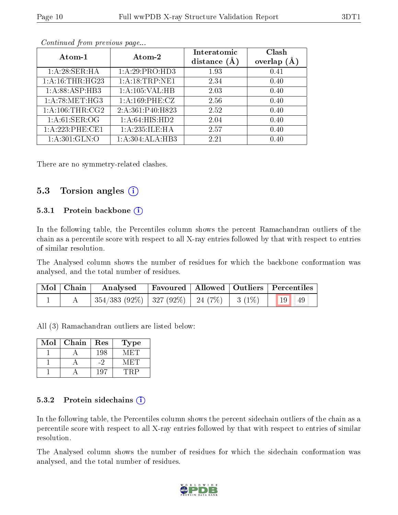|--|

| Atom- $1$        | Atom-2            | Interatomic<br>distance $(A)$ | Clash<br>overlap $(A)$ |
|------------------|-------------------|-------------------------------|------------------------|
| 1:A:28:SER:HA    | 1:A:29:PRO:HD3    | 1.93                          | 0.41                   |
| 1: A:16:THR:HG23 | 1:A:18:TRP:NE1    | 2.34                          | 0.40                   |
| 1:A:88:ASP:HB3   | 1:A:105:VAL:HB    | 2.03                          | 0.40                   |
| 1: A:78: MET:HG3 | 1:A:169:PHE:CZ    | 2.56                          | 0.40                   |
| 1: A:106:THR:CG2 | 2:A:361:P40:H823  | 2.52                          | 0.40                   |
| 1: A:61: SER:OG  | 1: A:64: HIS: HD2 | 2.04                          | 0.40                   |
| 1:A:223:PHE:CE1  | 1:A:235:ILE:HA    | 2.57                          | 0.40                   |
| 1: A:301: GLN:O  | 1:A:304:ALA:HB3   | 2.21                          | 0.40                   |

Continued from previous page...

There are no symmetry-related clashes.

#### 5.3 Torsion angles  $(i)$

#### 5.3.1 Protein backbone (i)

In the following table, the Percentiles column shows the percent Ramachandran outliers of the chain as a percentile score with respect to all X-ray entries followed by that with respect to entries of similar resolution.

The Analysed column shows the number of residues for which the backbone conformation was analysed, and the total number of residues.

| $\mid$ Mol $\mid$ Chain $\mid$ | Analysed                                                      |  | Favoured   Allowed   Outliers   Percentiles |  |
|--------------------------------|---------------------------------------------------------------|--|---------------------------------------------|--|
|                                | $\mid$ 354/383 (92%)   327 (92%)   24 (7%)   3 (1%)   19   49 |  |                                             |  |

All (3) Ramachandran outliers are listed below:

| Mol | Chain | Res | Type |
|-----|-------|-----|------|
|     |       | 198 |      |
|     |       |     |      |
|     |       |     |      |

#### 5.3.2 Protein sidechains  $(i)$

In the following table, the Percentiles column shows the percent sidechain outliers of the chain as a percentile score with respect to all X-ray entries followed by that with respect to entries of similar resolution.

The Analysed column shows the number of residues for which the sidechain conformation was analysed, and the total number of residues.

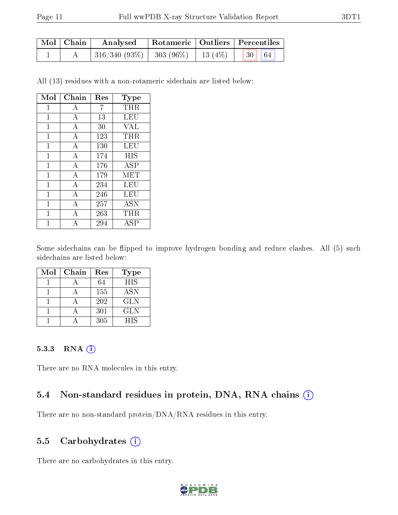| $\mid$ Mol $\mid$ Chain $\mid$ | Rotameric   Outliers   Percentiles  <br>Analysed                  |  |  |  |
|--------------------------------|-------------------------------------------------------------------|--|--|--|
|                                | $\mid$ 316/340 (93%) $\mid$ 303 (96%) $\mid$ 13 (4%) $\mid$ 30 64 |  |  |  |

All (13) residues with a non-rotameric sidechain are listed below:

| Mol | Chain          | Res | Type       |
|-----|----------------|-----|------------|
| 1   | А              | 7   | THR        |
| 1   | А              | 13  | LEU        |
| 1   | А              | 30  | VAL        |
| 1   | А              | 123 | THR        |
| 1   | А              | 130 | LEU        |
| 1   | А              | 174 | HIS        |
| 1   | А              | 176 | ASP        |
| 1   | A              | 179 | MET        |
| 1   | А              | 234 | LEU        |
| 1   | $\overline{A}$ | 246 | LEU        |
| 1   | А              | 257 | <b>ASN</b> |
| 1   | А              | 263 | THR        |
|     | А              | 294 | ASP        |

Some sidechains can be flipped to improve hydrogen bonding and reduce clashes. All (5) such sidechains are listed below:

| Mol | Chain | Res | Type       |
|-----|-------|-----|------------|
|     |       | 64  | <b>HIS</b> |
|     |       | 155 | <b>ASN</b> |
|     |       | 202 | <b>GLN</b> |
|     |       | 301 | <b>GLN</b> |
|     |       | 305 | HIS        |

#### 5.3.3 RNA (i)

There are no RNA molecules in this entry.

### 5.4 Non-standard residues in protein, DNA, RNA chains (i)

There are no non-standard protein/DNA/RNA residues in this entry.

### 5.5 Carbohydrates (i)

There are no carbohydrates in this entry.

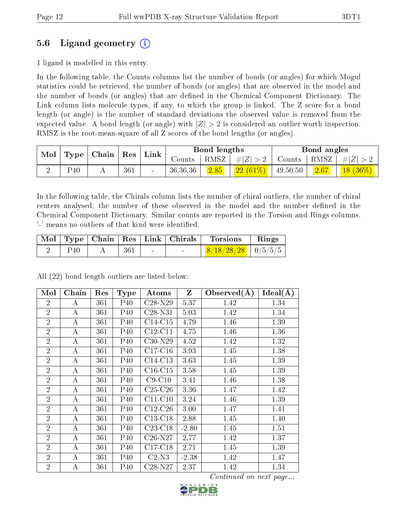### 5.6 Ligand geometry (i)

1 ligand is modelled in this entry.

In the following table, the Counts columns list the number of bonds (or angles) for which Mogul statistics could be retrieved, the number of bonds (or angles) that are observed in the model and the number of bonds (or angles) that are dened in the Chemical Component Dictionary. The Link column lists molecule types, if any, to which the group is linked. The Z score for a bond length (or angle) is the number of standard deviations the observed value is removed from the expected value. A bond length (or angle) with  $|Z| > 2$  is considered an outlier worth inspection. RMSZ is the root-mean-square of all Z scores of the bond lengths (or angles).

| $\bf{Mol}$ | $\mid$ Type $\mid$ Chain<br>$\operatorname{Res}$ |  | $^{\dagger}$ Link | Bond lengths |          |             | Bond angles |          |                                      |            |
|------------|--------------------------------------------------|--|-------------------|--------------|----------|-------------|-------------|----------|--------------------------------------|------------|
|            |                                                  |  |                   | Counts -     | RMSZ     | # $ Z  > 2$ | Counts      | RMSZ     | $\mathbb{C}^{\bullet}$   $\# Z  > 1$ |            |
|            | P <sub>40</sub>                                  |  | 361               | $\sim$       | 36,36,36 | 2.85        | $22(61\%)$  | 49,50,50 | 2.67                                 | $18(36\%)$ |

In the following table, the Chirals column lists the number of chiral outliers, the number of chiral centers analysed, the number of these observed in the model and the number defined in the Chemical Component Dictionary. Similar counts are reported in the Torsion and Rings columns. '-' means no outliers of that kind were identified.

|          |     | $\mid$ Mol $\mid$ Type $\mid$ Chain $\mid$ Res $\mid$ Link $\mid$ Chirals $\mid$ | ' Torsions                              | $\mathbf{Rings}$ |
|----------|-----|----------------------------------------------------------------------------------|-----------------------------------------|------------------|
| $P_{40}$ | 361 | $\sim$                                                                           | $\mid$ 8/18/28/28 $\mid$ 0/5/5/5 $\mid$ |                  |

All (22) bond length outliers are listed below:

| Mol            | Chain | Res | <b>Type</b>     | Atoms     | $\mathbf{Z}$ | Observed $(A)$ | $\overline{\text{Ideal}}(\text{A})$ |
|----------------|-------|-----|-----------------|-----------|--------------|----------------|-------------------------------------|
| $\overline{2}$ | А     | 361 | P40             | $C28-N29$ | 5.37         | 1.42           | 1.34                                |
| $\overline{2}$ | A     | 361 | P40             | $C28-N31$ | 5.03         | 1.42           | 1.34                                |
| $\overline{2}$ | A     | 361 | P40             | $C14-C15$ | 4.79         | 1.46           | 1.39                                |
| $\overline{2}$ | А     | 361 | $P_{40}$        | $C12-C11$ | 4.75         | 1.46           | 1.36                                |
| $\overline{2}$ | А     | 361 | P40             | $C30-N29$ | 4.52         | 1.42           | 1.32                                |
| $\overline{2}$ | А     | 361 | P40             | $C17-C16$ | 3.93         | 1.45           | 1.38                                |
| $\overline{2}$ | А     | 361 | P <sub>40</sub> | $C14-C13$ | 3.63         | 1.45           | 1.39                                |
| $\overline{2}$ | А     | 361 | P40             | $C16-C15$ | 3.58         | 1.45           | 1.39                                |
| $\overline{2}$ | А     | 361 | $P_{40}$        | $C9-C10$  | 3.41         | 1.46           | 1.38                                |
| $\overline{2}$ | А     | 361 | P <sub>40</sub> | $C25-C26$ | 3.36         | 1.47           | 1.42                                |
| $\overline{2}$ | А     | 361 | P <sub>40</sub> | $C11-C10$ | 3.24         | 1.46           | 1.39                                |
| $\overline{2}$ | А     | 361 | $P_{40}$        | $C12-C26$ | 3.00         | 1.47           | 1.41                                |
| $\overline{2}$ | А     | 361 | P40             | $C13-C18$ | 2.88         | 1.45           | 1.40                                |
| $\overline{2}$ | А     | 361 | P40             | $C23-C18$ | $-2.80$      | 1.45           | 1.51                                |
| $\overline{2}$ | А     | 361 | P <sub>40</sub> | $C26-N27$ | 2.77         | 1.42           | 1.37                                |
| $\overline{2}$ | А     | 361 | P40             | $C17-C18$ | 2.71         | 1.45           | 1.39                                |
| $\overline{2}$ | A     | 361 | P40             | $C2-N3$   | $-2.38$      | 1.42           | 1.47                                |
| $\overline{2}$ | А     | 361 | P40             | C28-N27   | 2.37         | 1.42           | 1.34                                |

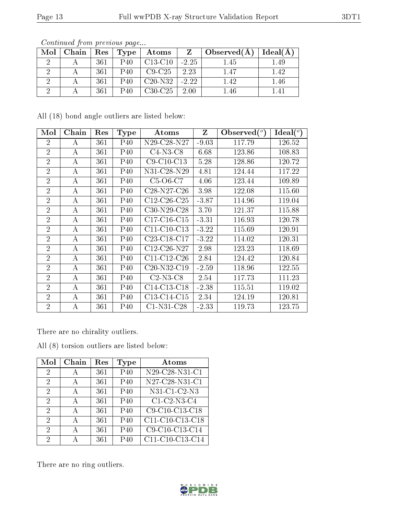| Mol | $Chain$ $\parallel$ | $\cdot$ + Res $+$ | Type | $\boldsymbol{\mathrm{Atoms}}$ |         | $Z \mid Observed(A)$ | Ideal(A) |
|-----|---------------------|-------------------|------|-------------------------------|---------|----------------------|----------|
|     |                     | 361               | P40  | C13-C10                       | $-2.25$ | 1.45                 | 1.49     |
|     |                     | 361               | P40  | $C9-C25$                      | 2.23    | 1.47                 | 1.42     |
|     |                     | 361               | P40  | $C20-N32$   -2.22             |         | 1.42                 | 1.46     |
|     |                     | 361               | P40  | $C30-C25$   2.00              |         | 1.46                 | 141      |

Continued from previous page...

All (18) bond angle outliers are listed below:

| Mol            | Chain | Res | Type            | Atoms             | Z       | $\text{Observed}(^{\text{o}})$ | $\text{Ideal}({}^o)$ |
|----------------|-------|-----|-----------------|-------------------|---------|--------------------------------|----------------------|
| $\overline{2}$ | А     | 361 | $P_{40}$        | $N29$ -C28- $N27$ | $-9.03$ | 117.79                         | 126.52               |
| $\overline{2}$ | А     | 361 | $P_{40}$        | $C4-N3-C8$        | 6.68    | 123.86                         | 108.83               |
| $\overline{2}$ | А     | 361 | $P_{40}$        | $C9-C10-C13$      | 5.28    | 128.86                         | 120.72               |
| $\overline{2}$ | А     | 361 | P40             | N31-C28-N29       | 4.81    | 124.44                         | 117.22               |
| $\overline{2}$ | А     | 361 | P40             | $C5-O6-C7$        | 4.06    | 123.44                         | 109.89               |
| $\overline{2}$ | А     | 361 | $P_{40}$        | $C28-N27-C26$     | 3.98    | 122.08                         | 115.60               |
| $\overline{2}$ | А     | 361 | $P_{40}$        | $C12-C26-C25$     | $-3.87$ | 114.96                         | 119.04               |
| $\overline{2}$ | А     | 361 | $P_{40}$        | $C30-N29-C28$     | 3.70    | 121.37                         | 115.88               |
| $\overline{2}$ | А     | 361 | $P_{40}$        | $C17-C16-C15$     | $-3.31$ | 116.93                         | 120.78               |
| $\overline{2}$ | А     | 361 | $P_{40}$        | $C11-C10-C13$     | $-3.22$ | 115.69                         | 120.91               |
| $\overline{2}$ | А     | 361 | $P_{40}$        | $C23-C18-C17$     | $-3.22$ | 114.02                         | 120.31               |
| $\overline{2}$ | А     | 361 | $P_{40}$        | $C12-C26-N27$     | 2.98    | 123.23                         | 118.69               |
| $\overline{2}$ | А     | 361 | $P_{40}$        | $C11-C12-C26$     | 2.84    | 124.42                         | 120.84               |
| $\overline{2}$ | А     | 361 | P <sub>40</sub> | $C20-N32-C19$     | $-2.59$ | 118.96                         | 122.55               |
| $\overline{2}$ | А     | 361 | $P_{40}$        | $C2-N3-C8$        | 2.54    | 117.73                         | 111.23               |
| $\overline{2}$ | А     | 361 | $P_{40}$        | $C14-C13-C18$     | $-2.38$ | 115.51                         | 119.02               |
| $\overline{2}$ | А     | 361 | P40             | $C13-C14-C15$     | 2.34    | 124.19                         | 120.81               |
| $\overline{2}$ | А     | 361 | P40             | $C1-N31-C28$      | $-2.33$ | 119.73                         | 123.75               |

There are no chirality outliers.

All (8) torsion outliers are listed below:

| Mol                         | Chain        | $\operatorname{Res}% \left( \mathcal{N}\right) \equiv\operatorname{Res}(\mathcal{N}_{0},\mathcal{N}_{0})$ | Type     | Atoms                        |
|-----------------------------|--------------|-----------------------------------------------------------------------------------------------------------|----------|------------------------------|
| $\mathcal{D}$               | А            | 361                                                                                                       | $P_{40}$ | $\overline{N29-C28-N31}$ -C1 |
| $\mathcal{D}_{\mathcal{A}}$ | $\mathbf{A}$ | 361                                                                                                       | $P_{40}$ | $N27-C28-N31-C1$             |
| $\mathcal{D}_{\mathcal{A}}$ | A            | 361                                                                                                       | $P_{40}$ | $N31-C1-C2-N3$               |
| 2                           | А            | 361                                                                                                       | P40      | $C1-C2-N3-C4$                |
| 2                           | A            | 361                                                                                                       | $P_{40}$ | C9-C10-C13-C18               |
| 2                           | А            | 361                                                                                                       | $P_{40}$ | C11-C10-C13-C18              |
| 2                           | А            | 361                                                                                                       | $P_{40}$ | C9-C10-C13-C14               |
| $\mathcal{D}$               | Д            | 361                                                                                                       | $P_{40}$ | C11-C10-C13-C14              |

There are no ring outliers.

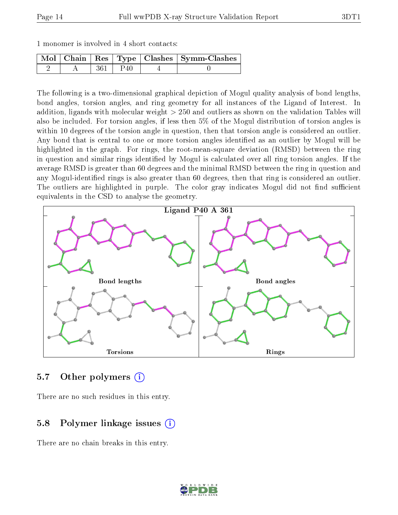|  | 1 monomer is involved in 4 short contacts: |  |  |  |  |  |  |  |
|--|--------------------------------------------|--|--|--|--|--|--|--|
|--|--------------------------------------------|--|--|--|--|--|--|--|

|  |                  | $\mid$ Mol $\mid$ Chain $\mid$ Res $\mid$ Type $\mid$ Clashes $\mid$ Symm-Clashes $\mid$ |
|--|------------------|------------------------------------------------------------------------------------------|
|  | $\therefore$ P40 |                                                                                          |

The following is a two-dimensional graphical depiction of Mogul quality analysis of bond lengths, bond angles, torsion angles, and ring geometry for all instances of the Ligand of Interest. In addition, ligands with molecular weight > 250 and outliers as shown on the validation Tables will also be included. For torsion angles, if less then 5% of the Mogul distribution of torsion angles is within 10 degrees of the torsion angle in question, then that torsion angle is considered an outlier. Any bond that is central to one or more torsion angles identified as an outlier by Mogul will be highlighted in the graph. For rings, the root-mean-square deviation (RMSD) between the ring in question and similar rings identified by Mogul is calculated over all ring torsion angles. If the average RMSD is greater than 60 degrees and the minimal RMSD between the ring in question and any Mogul-identified rings is also greater than 60 degrees, then that ring is considered an outlier. The outliers are highlighted in purple. The color gray indicates Mogul did not find sufficient equivalents in the CSD to analyse the geometry.



#### 5.7 [O](https://www.wwpdb.org/validation/2017/XrayValidationReportHelp#nonstandard_residues_and_ligands)ther polymers (i)

There are no such residues in this entry.

#### 5.8 Polymer linkage issues (i)

There are no chain breaks in this entry.

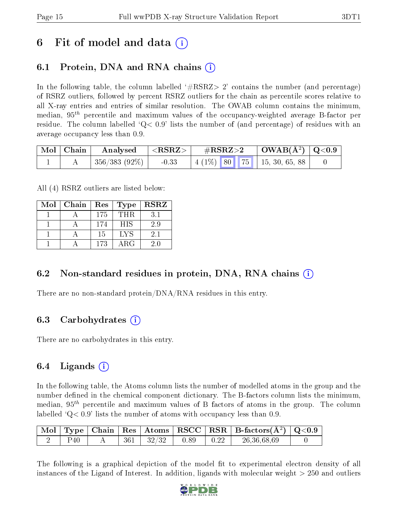## 6 Fit of model and data  $(i)$

### 6.1 Protein, DNA and RNA chains (i)

In the following table, the column labelled  $#RSRZ> 2'$  contains the number (and percentage) of RSRZ outliers, followed by percent RSRZ outliers for the chain as percentile scores relative to all X-ray entries and entries of similar resolution. The OWAB column contains the minimum, median,  $95<sup>th</sup>$  percentile and maximum values of the occupancy-weighted average B-factor per residue. The column labelled  $Q < 0.9$  lists the number of (and percentage) of residues with an average occupancy less than 0.9.

| $\mid$ Mol $\mid$ Chain $\mid$ | Analysed         | $<$ RSRZ $>$ | $\#\text{RSRZ}\text{>2}$ |  | $\mid$ OWAB(Å <sup>2</sup> ) $\mid$ Q<0.9 $\mid$ |                                    |  |
|--------------------------------|------------------|--------------|--------------------------|--|--------------------------------------------------|------------------------------------|--|
|                                | $+356/383(92\%)$ | $-0.33$      |                          |  |                                                  | $\mid$ 4 (1%) 80 75 15, 30, 65, 88 |  |

All (4) RSRZ outliers are listed below:

| Mol | Chain | $\mid$ Res | Type       | <b>RSRZ</b> |
|-----|-------|------------|------------|-------------|
|     |       | 175        | THR.       | 31          |
|     |       | 174        | <b>HIS</b> | 2.9         |
|     |       | 15         | <b>LYS</b> | 2.1         |
|     |       | 173        | $\rm{ARG}$ | 20          |

### 6.2 Non-standard residues in protein, DNA, RNA chains  $(i)$

There are no non-standard protein/DNA/RNA residues in this entry.

### 6.3 Carbohydrates (i)

There are no carbohydrates in this entry.

### $6.4$  Ligands  $(i)$

In the following table, the Atoms column lists the number of modelled atoms in the group and the number defined in the chemical component dictionary. The B-factors column lists the minimum, median,  $95<sup>th</sup>$  percentile and maximum values of B factors of atoms in the group. The column labelled  $Q< 0.9$  lists the number of atoms with occupancy less than 0.9.

|     |     |       |      |      | $\vert$ Mol $\vert$ Type $\vert$ Chain $\vert$ Res $\vert$ Atoms $\vert$ RSCC $\vert$ RSR $\vert$ B-factors(A <sup>2</sup> ) $\vert$ Q<0.9 |  |
|-----|-----|-------|------|------|--------------------------------------------------------------------------------------------------------------------------------------------|--|
| Ρ40 | 361 | 32/32 | 0.89 | 0.22 | 26,36,68,69                                                                                                                                |  |

The following is a graphical depiction of the model fit to experimental electron density of all instances of the Ligand of Interest. In addition, ligands with molecular weight  $> 250$  and outliers